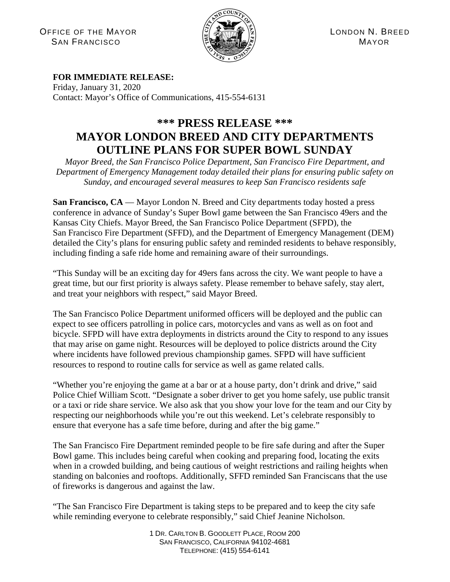OFFICE OF THE MAYOR  $\left|\frac{\partial f}{\partial x}\right| \left|\frac{\partial f}{\partial y}\right| \left|\frac{\partial f}{\partial y}\right| \left|\frac{\partial f}{\partial z}\right|$  LONDON N. BREED  $S$ AN FRANCISCO  $\left(\mathbb{E} \right)$   $\left(\mathbb{E} \right)$   $\left(\mathbb{E} \right)$   $\left(\mathbb{E} \right)$  MAYOR



## **FOR IMMEDIATE RELEASE:**

Friday, January 31, 2020 Contact: Mayor's Office of Communications, 415-554-6131

## **\*\*\* PRESS RELEASE \*\*\* MAYOR LONDON BREED AND CITY DEPARTMENTS OUTLINE PLANS FOR SUPER BOWL SUNDAY**

*Mayor Breed, the San Francisco Police Department, San Francisco Fire Department, and Department of Emergency Management today detailed their plans for ensuring public safety on Sunday, and encouraged several measures to keep San Francisco residents safe*

**San Francisco, CA** — Mayor London N. Breed and City departments today hosted a press conference in advance of Sunday's Super Bowl game between the San Francisco 49ers and the Kansas City Chiefs. Mayor Breed, the San Francisco Police Department (SFPD), the San Francisco Fire Department (SFFD), and the Department of Emergency Management (DEM) detailed the City's plans for ensuring public safety and reminded residents to behave responsibly, including finding a safe ride home and remaining aware of their surroundings.

"This Sunday will be an exciting day for 49ers fans across the city. We want people to have a great time, but our first priority is always safety. Please remember to behave safely, stay alert, and treat your neighbors with respect," said Mayor Breed.

The San Francisco Police Department uniformed officers will be deployed and the public can expect to see officers patrolling in police cars, motorcycles and vans as well as on foot and bicycle. SFPD will have extra deployments in districts around the City to respond to any issues that may arise on game night. Resources will be deployed to police districts around the City where incidents have followed previous championship games. SFPD will have sufficient resources to respond to routine calls for service as well as game related calls.

"Whether you're enjoying the game at a bar or at a house party, don't drink and drive," said Police Chief William Scott. "Designate a sober driver to get you home safely, use public transit or a taxi or ride share service. We also ask that you show your love for the team and our City by respecting our neighborhoods while you're out this weekend. Let's celebrate responsibly to ensure that everyone has a safe time before, during and after the big game."

The San Francisco Fire Department reminded people to be fire safe during and after the Super Bowl game. This includes being careful when cooking and preparing food, locating the exits when in a crowded building, and being cautious of weight restrictions and railing heights when standing on balconies and rooftops. Additionally, SFFD reminded San Franciscans that the use of fireworks is dangerous and against the law.

"The San Francisco Fire Department is taking steps to be prepared and to keep the city safe while reminding everyone to celebrate responsibly," said Chief Jeanine Nicholson.

> 1 DR. CARLTON B. GOODLETT PLACE, ROOM 200 SAN FRANCISCO, CALIFORNIA 94102-4681 TELEPHONE: (415) 554-6141